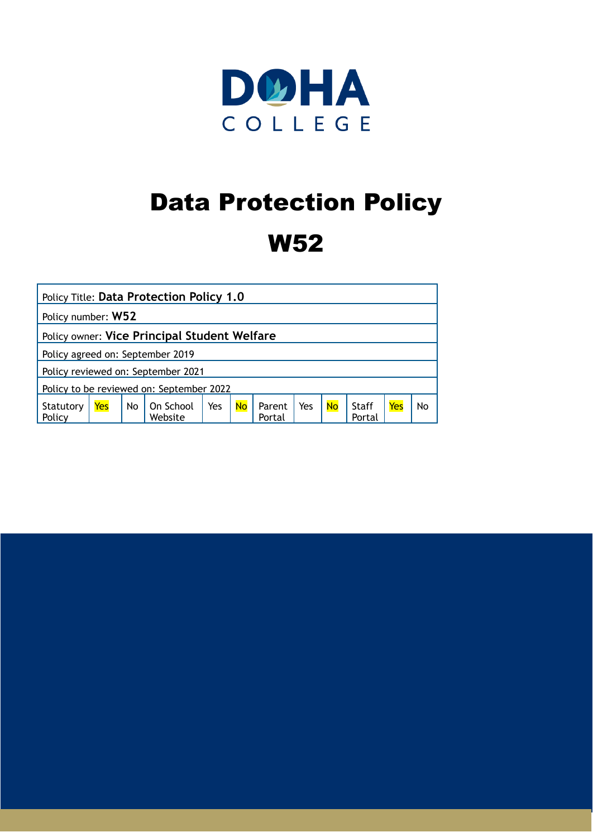

# Data Protection Policy

# W52

| <b>Policy Title: Data Protection Policy 1.0</b> |     |    |                      |     |           |                  |     |           |                 |     |    |
|-------------------------------------------------|-----|----|----------------------|-----|-----------|------------------|-----|-----------|-----------------|-----|----|
| Policy number: W52                              |     |    |                      |     |           |                  |     |           |                 |     |    |
| Policy owner: Vice Principal Student Welfare    |     |    |                      |     |           |                  |     |           |                 |     |    |
| Policy agreed on: September 2019                |     |    |                      |     |           |                  |     |           |                 |     |    |
| Policy reviewed on: September 2021              |     |    |                      |     |           |                  |     |           |                 |     |    |
| Policy to be reviewed on: September 2022        |     |    |                      |     |           |                  |     |           |                 |     |    |
| Statutory<br>Policy                             | Yes | No | On School<br>Website | Yes | <b>No</b> | Parent<br>Portal | Yes | <b>No</b> | Staff<br>Portal | Yes | No |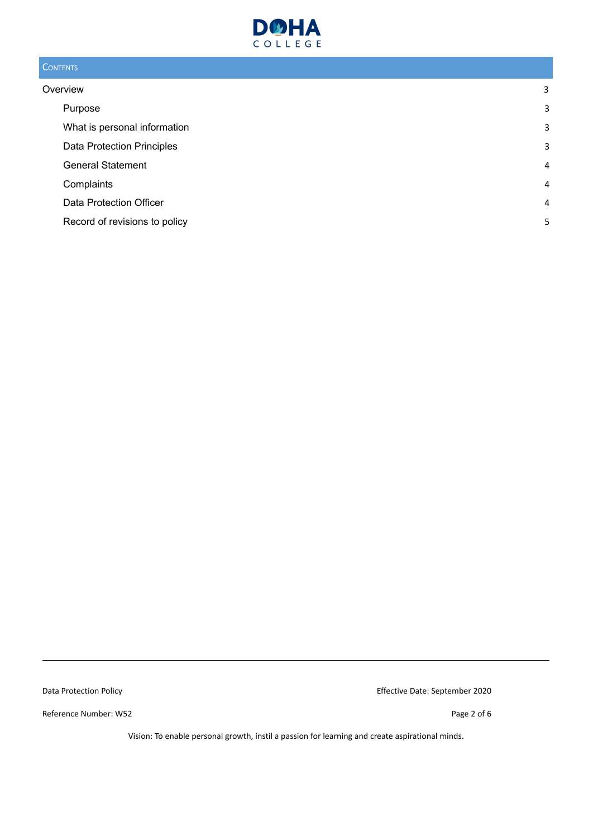

# **CONTENTS**

| Overview                          | 3 |
|-----------------------------------|---|
| Purpose                           | 3 |
| What is personal information      | 3 |
| <b>Data Protection Principles</b> | 3 |
| <b>General Statement</b>          | 4 |
| Complaints                        | 4 |
| Data Protection Officer           | 4 |
| Record of revisions to policy     | 5 |

Reference Number: W52 Page 2 of 6

Data Protection Policy **Effective Date: September 2020**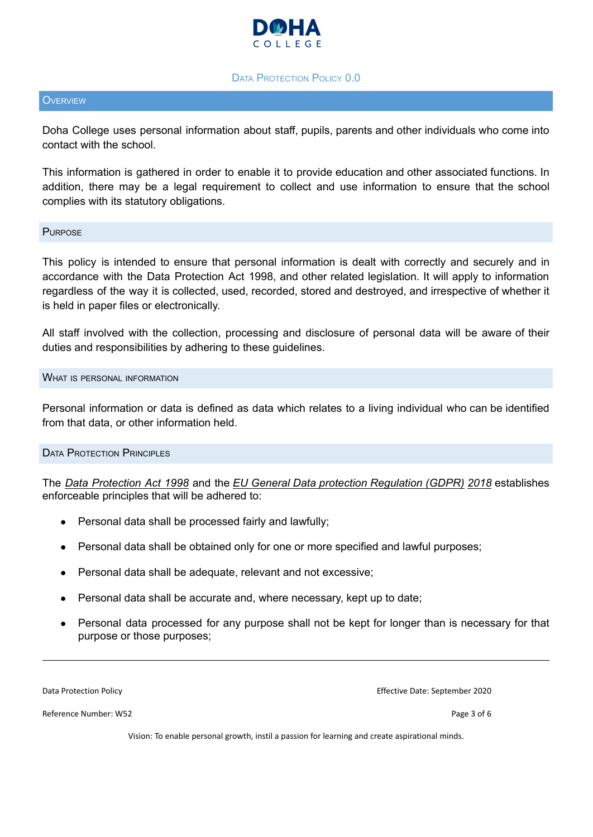

#### **DATA PROTECTION POLICY 0.0**

#### <span id="page-2-0"></span>**OVERVIEW**

Doha College uses personal information about staff, pupils, parents and other individuals who come into contact with the school.

This information is gathered in order to enable it to provide education and other associated functions. In addition, there may be a legal requirement to collect and use information to ensure that the school complies with its statutory obligations.

#### <span id="page-2-1"></span>**PURPOSE**

This policy is intended to ensure that personal information is dealt with correctly and securely and in accordance with the Data Protection Act 1998, and other related legislation. It will apply to information regardless of the way it is collected, used, recorded, stored and destroyed, and irrespective of whether it is held in paper files or electronically.

All staff involved with the collection, processing and disclosure of personal data will be aware of their duties and responsibilities by adhering to these guidelines.

#### <span id="page-2-2"></span>WHAT IS PERSONAL INFORMATION

Personal information or data is defined as data which relates to a living individual who can be identified from that data, or other information held.

#### <span id="page-2-3"></span>DATA PROTECTION PRINCIPLES

The *Data Protection Act 1998* and the *EU General Data protection Regulation (GDPR) 2018* establishes enforceable principles that will be adhered to:

- Personal data shall be processed fairly and lawfully;
- Personal data shall be obtained only for one or more specified and lawful purposes;
- Personal data shall be adequate, relevant and not excessive;
- Personal data shall be accurate and, where necessary, kept up to date;
- Personal data processed for any purpose shall not be kept for longer than is necessary for that purpose or those purposes;

Reference Number: W52 Page 3 of 6

Data Protection Policy Effective Date: September 2020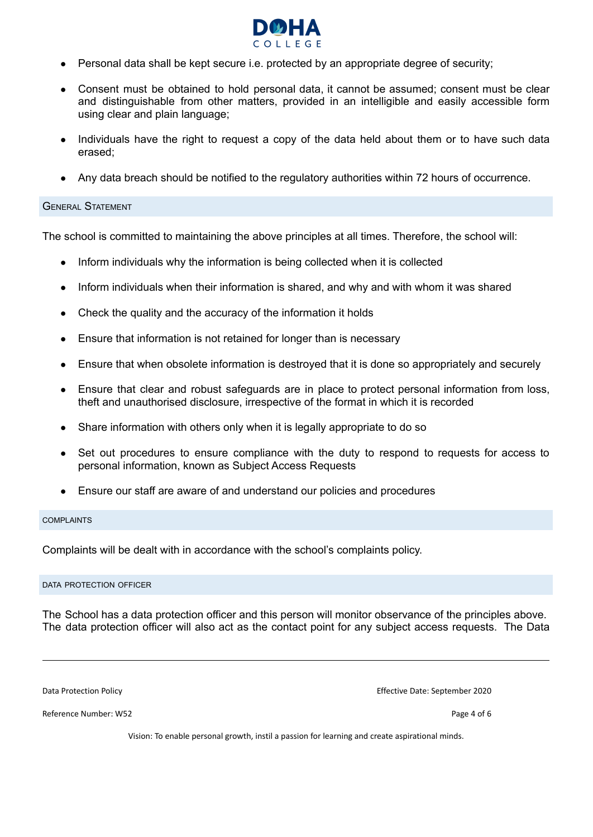

- Personal data shall be kept secure i.e. protected by an appropriate degree of security;
- Consent must be obtained to hold personal data, it cannot be assumed; consent must be clear and distinguishable from other matters, provided in an intelligible and easily accessible form using clear and plain language;
- Individuals have the right to request a copy of the data held about them or to have such data erased;
- Any data breach should be notified to the regulatory authorities within 72 hours of occurrence.

#### <span id="page-3-0"></span>GENERAL STATEMENT

The school is committed to maintaining the above principles at all times. Therefore, the school will:

- Inform individuals why the information is being collected when it is collected
- Inform individuals when their information is shared, and why and with whom it was shared
- Check the quality and the accuracy of the information it holds
- Ensure that information is not retained for longer than is necessary
- Ensure that when obsolete information is destroyed that it is done so appropriately and securely
- Ensure that clear and robust safeguards are in place to protect personal information from loss, theft and unauthorised disclosure, irrespective of the format in which it is recorded
- Share information with others only when it is legally appropriate to do so
- Set out procedures to ensure compliance with the duty to respond to requests for access to personal information, known as Subject Access Requests
- Ensure our staff are aware of and understand our policies and procedures

#### <span id="page-3-1"></span>COMPLAINTS

Complaints will be dealt with in accordance with the school's complaints policy.

#### <span id="page-3-2"></span>DATA PROTECTION OFFICER

The School has a data protection officer and this person will monitor observance of the principles above. The data protection officer will also act as the contact point for any subject access requests. The Data

Reference Number: W52 Page 4 of 6

Data Protection Policy Effective Date: September 2020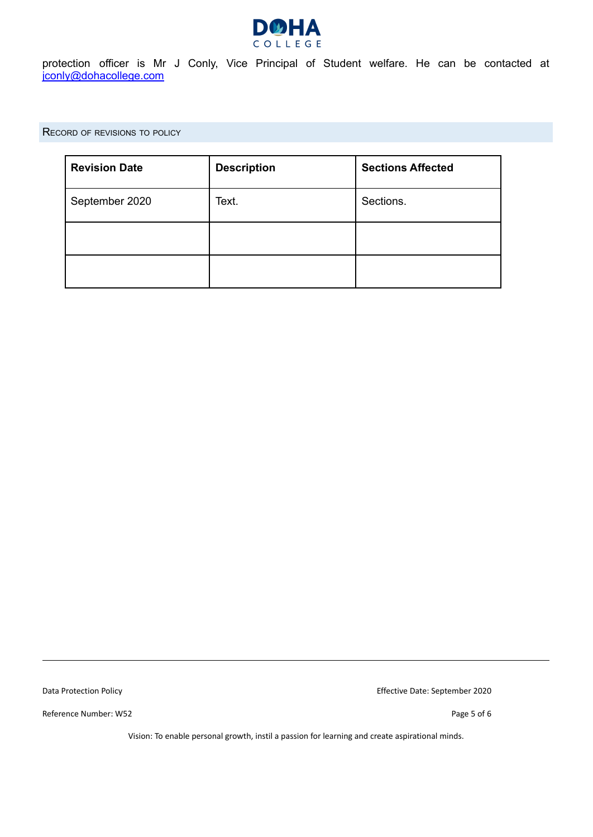

protection officer is Mr J Conly, Vice Principal of Student welfare. He can be contacted at [jconly@dohacollege.com](mailto:jconly@dohacollege.com)

<span id="page-4-0"></span>RECORD OF REVISIONS TO POLICY

| <b>Revision Date</b> | <b>Description</b> | <b>Sections Affected</b> |
|----------------------|--------------------|--------------------------|
| September 2020       | Text.              | Sections.                |
|                      |                    |                          |
|                      |                    |                          |

Reference Number: W52 Page 5 of 6

Data Protection Policy Effective Date: September 2020